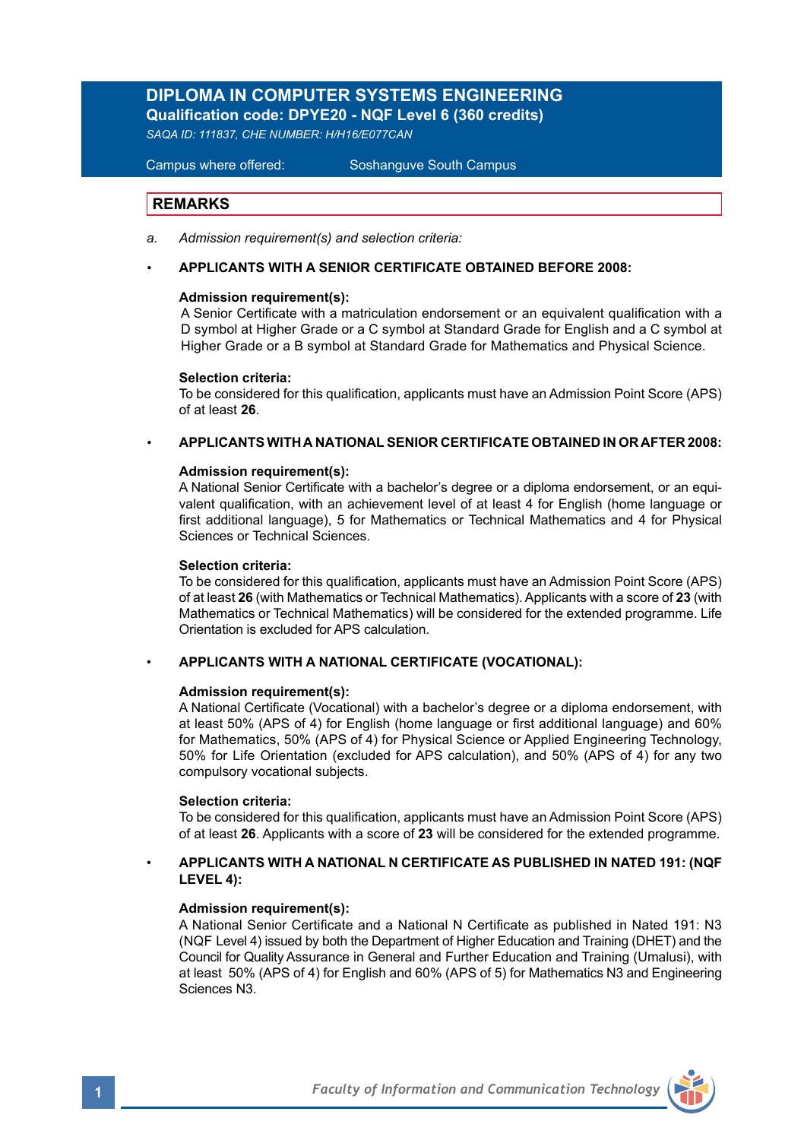# **DIPLOMA IN COMPUTER SYSTEMS ENGINEERING**

**Qualification code: DPYE20 - NQF Level 6 (360 credits)** 

*SAQA ID: 111837, CHE NUMBER: H/H16/E077CAN*

Campus where offered: Soshanguve South Campus

### **REMARKS**

- *a. Admission requirement(s) and selection criteria:*
- **APPLICANTS WITH A SENIOR CERTIFICATE OBTAINED BEFORE 2008:**

### **Admission requirement(s):**

A Senior Certificate with a matriculation endorsement or an equivalent qualification with a D symbol at Higher Grade or a C symbol at Standard Grade for English and a C symbol at Higher Grade or a B symbol at Standard Grade for Mathematics and Physical Science.

### **Selection criteria:**

To be considered for this qualification, applicants must have an Admission Point Score (APS) of at least **26**.

### *•* **APPLICANTS WITH A NATIONAL SENIOR CERTIFICATE OBTAINED IN OR AFTER 2008:**

### **Admission requirement(s):**

A National Senior Certificate with a bachelor's degree or a diploma endorsement, or an equivalent qualification, with an achievement level of at least 4 for English (home language or first additional language), 5 for Mathematics or Technical Mathematics and 4 for Physical Sciences or Technical Sciences.

### **Selection criteria:**

To be considered for this qualification, applicants must have an Admission Point Score (APS) of at least **26** (with Mathematics or Technical Mathematics). Applicants with a score of **23** (with Mathematics or Technical Mathematics) will be considered for the extended programme. Life Orientation is excluded for APS calculation.

### • **APPLICANTS WITH A NATIONAL CERTIFICATE (VOCATIONAL):**

### **Admission requirement(s):**

A National Certificate (Vocational) with a bachelor's degree or a diploma endorsement, with at least 50% (APS of 4) for English (home language or first additional language) and 60% for Mathematics, 50% (APS of 4) for Physical Science or Applied Engineering Technology, 50% for Life Orientation (excluded for APS calculation), and 50% (APS of 4) for any two compulsory vocational subjects.

### **Selection criteria:**

To be considered for this qualification, applicants must have an Admission Point Score (APS) of at least **26**. Applicants with a score of **23** will be considered for the extended programme.

### • **APPLICANTS WITH A NATIONAL N CERTIFICATE AS PUBLISHED IN NATED 191: (NQF LEVEL 4):**

### **Admission requirement(s):**

A National Senior Certificate and a National N Certificate as published in Nated 191: N3 (NQF Level 4) issued by both the Department of Higher Education and Training (DHET) and the Council for Quality Assurance in General and Further Education and Training (Umalusi), with at least 50% (APS of 4) for English and 60% (APS of 5) for Mathematics N3 and Engineering Sciences N3.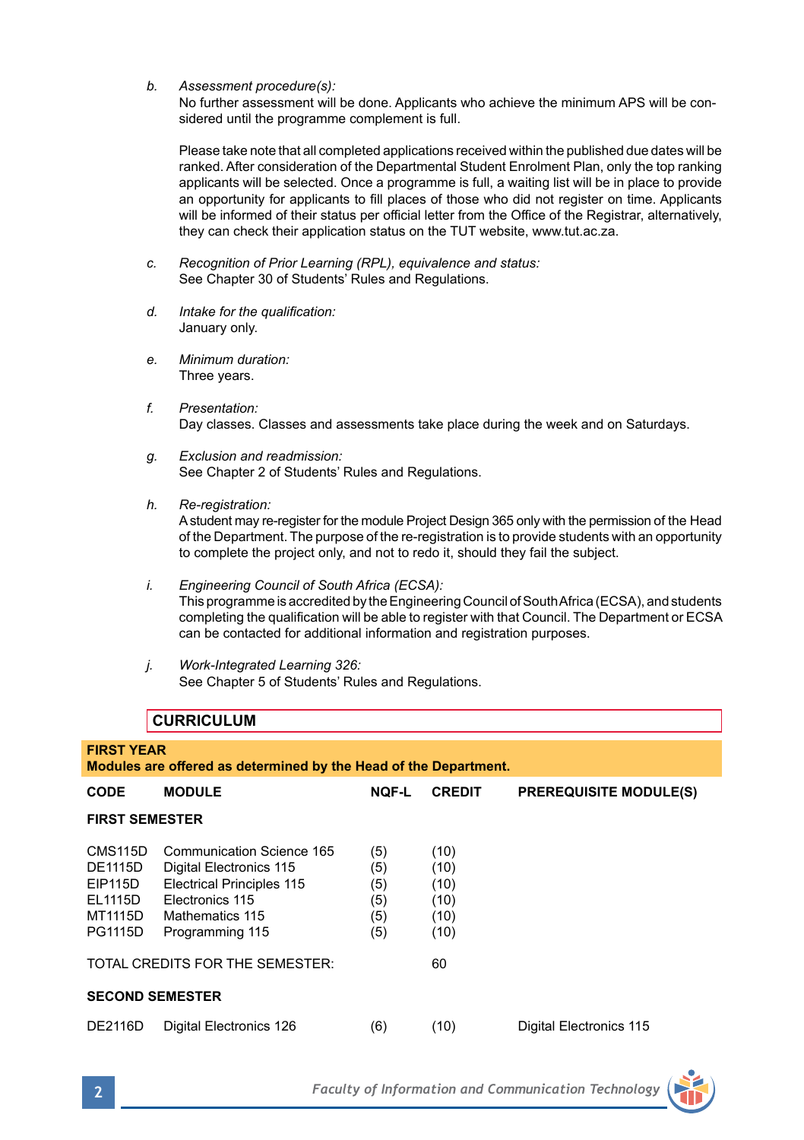*b. Assessment procedure(s):*

No further assessment will be done. Applicants who achieve the minimum APS will be con sidered until the programme complement is full.

Please take note that all completed applications received within the published due dates will be ranked. After consideration of the Departmental Student Enrolment Plan, only the top ranking applicants will be selected. Once a programme is full, a waiting list will be in place to provide an opportunity for applicants to fill places of those who did not register on time. Applicants will be informed of their status per official letter from the Office of the Registrar, alternatively, they can check their application status on the TUT website, www.tut.ac.za.

- *c. Recognition of Prior Learning (RPL), equivalence and status:* See Chapter 30 of Students' Rules and Regulations.
- *d. Intake for the qualification:*  January only.
- *e. Minimum duration:* Three years.
- *f. Presentation:*  Day classes. Classes and assessments take place during the week and on Saturdays.
- *g. Exclusion and readmission:* See Chapter 2 of Students' Rules and Regulations.
- *h. Re-registration:*

A student may re-register for the module Project Design 365 only with the permission of the Head of the Department. The purpose of the re-registration is to provide students with an opportunity to complete the project only, and not to redo it, should they fail the subject.

- *i. Engineering Council of South Africa (ECSA):* This programme is accredited by the Engineering Council of South Africa (ECSA), and students completing the qualification will be able to register with that Council. The Department or ECSA can be contacted for additional information and registration purposes.
- *j. Work-Integrated Learning 326:* See Chapter 5 of Students' Rules and Regulations.

## **CURRICULUM**

| <b>FIRST YEAR</b><br>Modules are offered as determined by the Head of the Department.     |                                                                                                                                                   |                                        |                                              |                               |  |
|-------------------------------------------------------------------------------------------|---------------------------------------------------------------------------------------------------------------------------------------------------|----------------------------------------|----------------------------------------------|-------------------------------|--|
| <b>CODE</b>                                                                               | <b>MODULE</b>                                                                                                                                     | <b>NQF-L</b>                           | <b>CREDIT</b>                                | <b>PREREQUISITE MODULE(S)</b> |  |
| <b>FIRST SEMESTER</b>                                                                     |                                                                                                                                                   |                                        |                                              |                               |  |
| CMS <sub>115</sub> D<br><b>DE1115D</b><br>EIP115D<br>EL1115D<br>MT1115D<br><b>PG1115D</b> | Communication Science 165<br>Digital Electronics 115<br><b>Electrical Principles 115</b><br>Electronics 115<br>Mathematics 115<br>Programming 115 | (5)<br>(5)<br>(5)<br>(5)<br>(5)<br>(5) | (10)<br>(10)<br>(10)<br>(10)<br>(10)<br>(10) |                               |  |
| TOTAL CREDITS FOR THE SEMESTER:<br>60                                                     |                                                                                                                                                   |                                        |                                              |                               |  |
| <b>SECOND SEMESTER</b>                                                                    |                                                                                                                                                   |                                        |                                              |                               |  |
| <b>DE2116D</b>                                                                            | Digital Electronics 126                                                                                                                           | (6)                                    | (10)                                         | Digital Electronics 115       |  |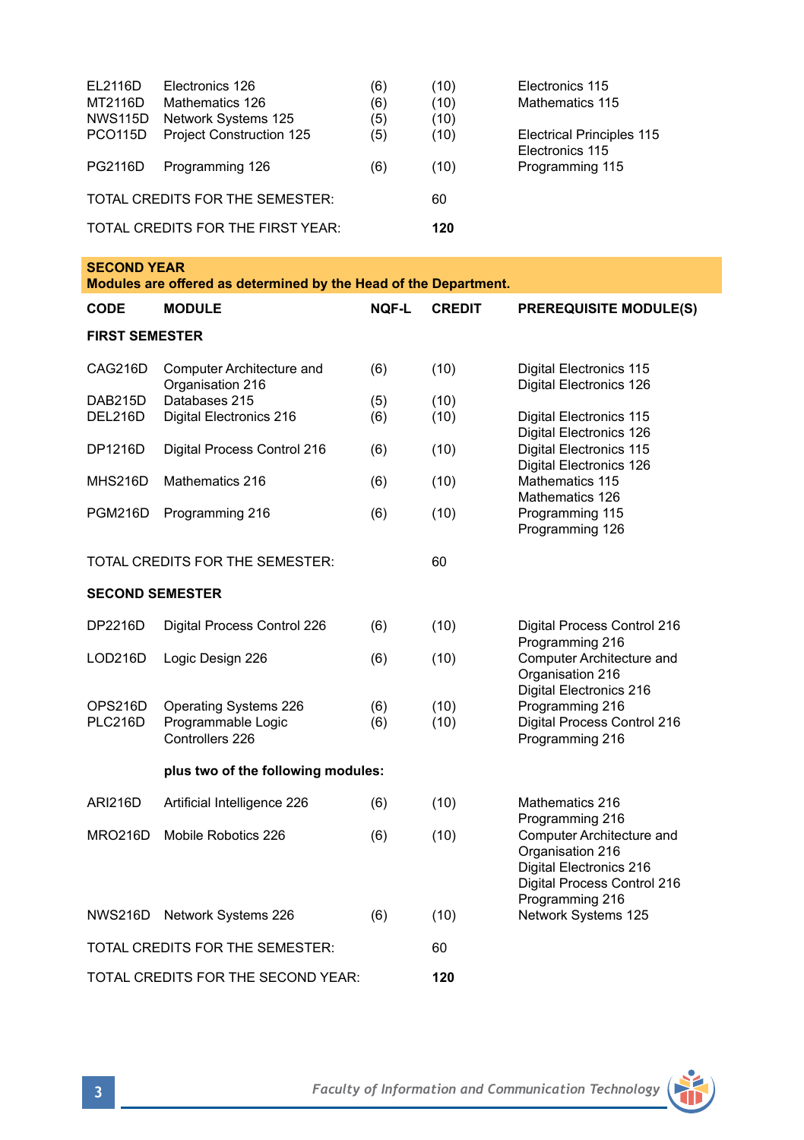| EL2116D              | Electronics 126                   | (6) | (10) | Electronics 115                                     |
|----------------------|-----------------------------------|-----|------|-----------------------------------------------------|
| MT2116D              | Mathematics 126                   | (6) | (10) | Mathematics 115                                     |
| <b>NWS115D</b>       | Network Systems 125               | (5) | (10) |                                                     |
| PCO <sub>115</sub> D | <b>Project Construction 125</b>   | (5) | (10) | <b>Electrical Principles 115</b><br>Electronics 115 |
| PG2116D              | Programming 126                   | (6) | (10) | Programming 115                                     |
|                      | TOTAL CREDITS FOR THE SEMESTER:   | 60  |      |                                                     |
|                      | TOTAL CREDITS FOR THE FIRST YEAR: | 120 |      |                                                     |

| <b>SECOND YEAR</b><br>Modules are offered as determined by the Head of the Department. |                                                                |            |               |                                                                                                                            |  |  |  |
|----------------------------------------------------------------------------------------|----------------------------------------------------------------|------------|---------------|----------------------------------------------------------------------------------------------------------------------------|--|--|--|
| <b>CODE</b>                                                                            | <b>MODULE</b>                                                  | NQF-L      | <b>CREDIT</b> | <b>PREREQUISITE MODULE(S)</b>                                                                                              |  |  |  |
| <b>FIRST SEMESTER</b>                                                                  |                                                                |            |               |                                                                                                                            |  |  |  |
| CAG216D                                                                                | Computer Architecture and<br>Organisation 216                  | (6)        | (10)          | Digital Electronics 115<br>Digital Electronics 126                                                                         |  |  |  |
| DAB215D<br>DEL216D                                                                     | Databases 215<br>Digital Electronics 216                       | (5)<br>(6) | (10)<br>(10)  | Digital Electronics 115<br>Digital Electronics 126                                                                         |  |  |  |
| DP1216D                                                                                | Digital Process Control 216                                    | (6)        | (10)          | Digital Electronics 115<br>Digital Electronics 126                                                                         |  |  |  |
| MHS216D                                                                                | Mathematics 216                                                | (6)        | (10)          | Mathematics 115<br>Mathematics 126                                                                                         |  |  |  |
| PGM216D                                                                                | Programming 216                                                | (6)        | (10)          | Programming 115<br>Programming 126                                                                                         |  |  |  |
| 60<br>TOTAL CREDITS FOR THE SEMESTER:                                                  |                                                                |            |               |                                                                                                                            |  |  |  |
| <b>SECOND SEMESTER</b>                                                                 |                                                                |            |               |                                                                                                                            |  |  |  |
| DP2216D                                                                                | Digital Process Control 226                                    | (6)        | (10)          | Digital Process Control 216<br>Programming 216                                                                             |  |  |  |
| LOD216D                                                                                | Logic Design 226                                               | (6)        | (10)          | Computer Architecture and<br>Organisation 216<br>Digital Electronics 216                                                   |  |  |  |
| OPS216D<br>PLC216D                                                                     | Operating Systems 226<br>Programmable Logic<br>Controllers 226 | (6)<br>(6) | (10)<br>(10)  | Programming 216<br>Digital Process Control 216<br>Programming 216                                                          |  |  |  |
| plus two of the following modules:                                                     |                                                                |            |               |                                                                                                                            |  |  |  |
| <b>ARI216D</b>                                                                         | Artificial Intelligence 226                                    | (6)        | (10)          | Mathematics 216<br>Programming 216                                                                                         |  |  |  |
| MRO216D                                                                                | Mobile Robotics 226                                            | (6)        | (10)          | Computer Architecture and<br>Organisation 216<br>Digital Electronics 216<br>Digital Process Control 216<br>Programming 216 |  |  |  |
| <b>NWS216D</b>                                                                         | Network Systems 226                                            | (6)        | (10)          | Network Systems 125                                                                                                        |  |  |  |
|                                                                                        | TOTAL CREDITS FOR THE SEMESTER:                                | 60         |               |                                                                                                                            |  |  |  |
| 120<br>TOTAL CREDITS FOR THE SECOND YEAR:                                              |                                                                |            |               |                                                                                                                            |  |  |  |

Ť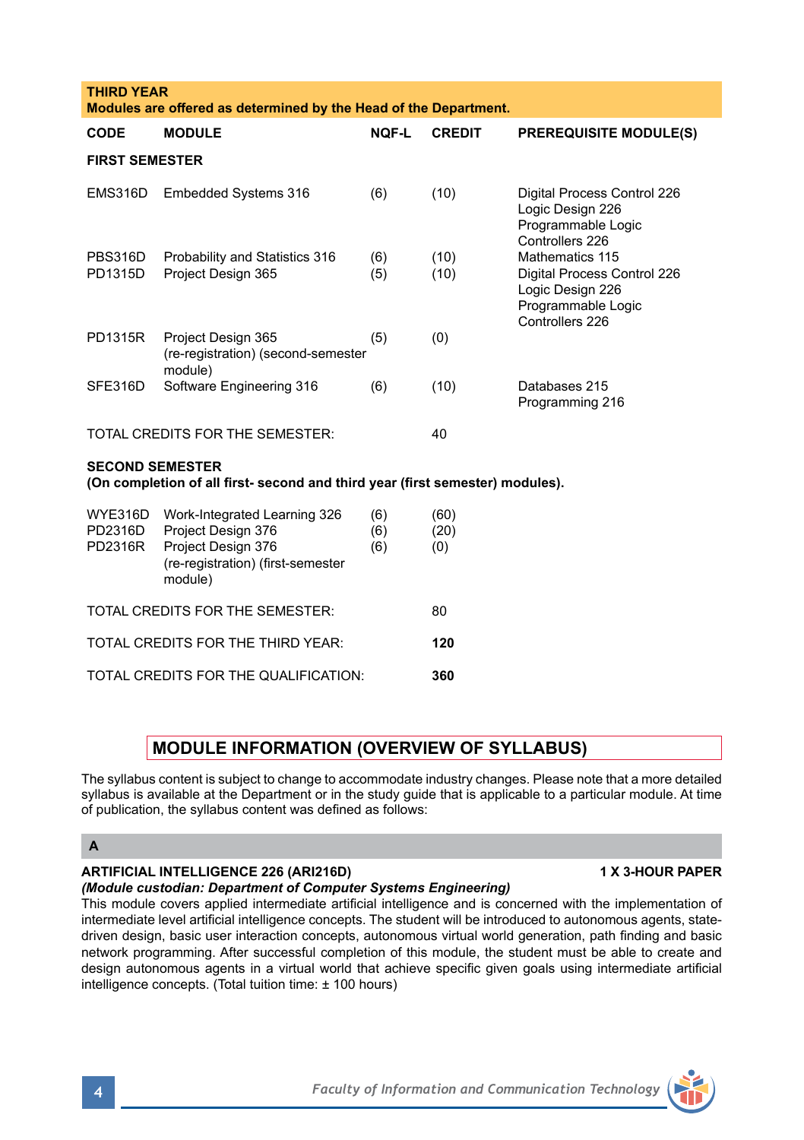| <b>THIRD YEAR</b><br>Modules are offered as determined by the Head of the Department.                   |                                                                                                                          |                   |                     |                                                                                                             |  |  |
|---------------------------------------------------------------------------------------------------------|--------------------------------------------------------------------------------------------------------------------------|-------------------|---------------------|-------------------------------------------------------------------------------------------------------------|--|--|
| CODE                                                                                                    | <b>MODULE</b>                                                                                                            | <b>NOF-L</b>      | <b>CREDIT</b>       | <b>PREREQUISITE MODULE(S)</b>                                                                               |  |  |
| <b>FIRST SEMESTER</b>                                                                                   |                                                                                                                          |                   |                     |                                                                                                             |  |  |
| EMS316D                                                                                                 | Embedded Systems 316                                                                                                     | (6)               | (10)                | Digital Process Control 226<br>Logic Design 226<br>Programmable Logic<br>Controllers 226                    |  |  |
| <b>PBS316D</b><br>PD1315D                                                                               | Probability and Statistics 316<br>Project Design 365                                                                     | (6)<br>(5)        | (10)<br>(10)        | Mathematics 115<br>Digital Process Control 226<br>Logic Design 226<br>Programmable Logic<br>Controllers 226 |  |  |
| PD1315R                                                                                                 | Project Design 365<br>(re-registration) (second-semester<br>module)                                                      | (5)               | (0)                 |                                                                                                             |  |  |
| SFE316D                                                                                                 | Software Engineering 316                                                                                                 | (6)               | (10)                | Databases 215<br>Programming 216                                                                            |  |  |
| TOTAL CREDITS FOR THE SEMESTER:                                                                         |                                                                                                                          |                   | 40                  |                                                                                                             |  |  |
| <b>SECOND SEMESTER</b><br>(On completion of all first- second and third year (first semester) modules). |                                                                                                                          |                   |                     |                                                                                                             |  |  |
| WYE316D<br>PD2316D<br>PD2316R                                                                           | Work-Integrated Learning 326<br>Project Design 376<br>Project Design 376<br>(re-registration) (first-semester<br>module) | (6)<br>(6)<br>(6) | (60)<br>(20)<br>(0) |                                                                                                             |  |  |
| TOTAL CREDITS FOR THE SEMESTER:<br>80                                                                   |                                                                                                                          |                   |                     |                                                                                                             |  |  |
| TOTAL CREDITS FOR THE THIRD YEAR:                                                                       |                                                                                                                          |                   | 120                 |                                                                                                             |  |  |
| TOTAL CREDITS FOR THE QUALIFICATION:<br>360                                                             |                                                                                                                          |                   |                     |                                                                                                             |  |  |

## **MODULE INFORMATION (OVERVIEW OF SYLLABUS)**

The syllabus content is subject to change to accommodate industry changes. Please note that a more detailed syllabus is available at the Department or in the study guide that is applicable to a particular module. At time of publication, the syllabus content was defined as follows:

### **A**

## **ARTIFICIAL INTELLIGENCE 226 (ARI216D) 1 X 3-HOUR PAPER**

## *(Module custodian: Department of Computer Systems Engineering)*

This module covers applied intermediate artificial intelligence and is concerned with the implementation of intermediate level artificial intelligence concepts. The student will be introduced to autonomous agents, statedriven design, basic user interaction concepts, autonomous virtual world generation, path finding and basic network programming. After successful completion of this module, the student must be able to create and design autonomous agents in a virtual world that achieve specific given goals using intermediate artificial intelligence concepts. (Total tuition time: ± 100 hours)

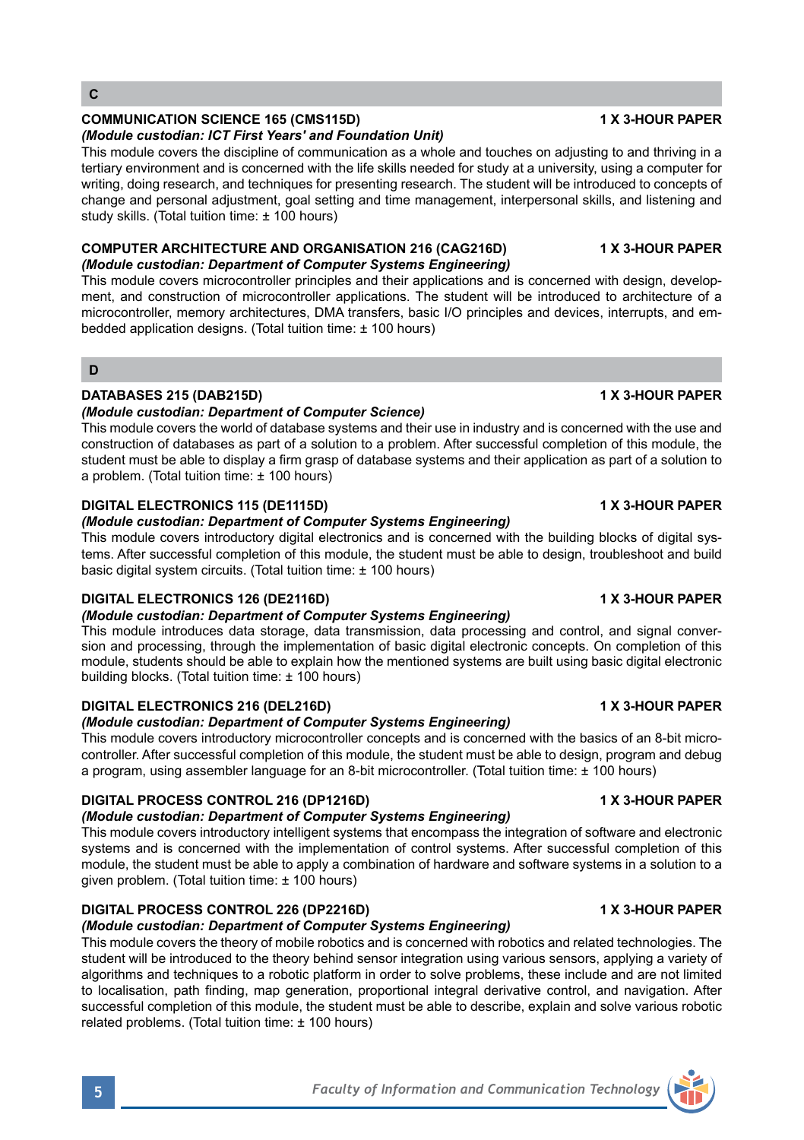## **COMMUNICATION SCIENCE 165 (CMS115D) 1 X 3-HOUR PAPER**

*(Module custodian: ICT First Years' and Foundation Unit)* This module covers the discipline of communication as a whole and touches on adjusting to and thriving in a tertiary environment and is concerned with the life skills needed for study at a university, using a computer for writing, doing research, and techniques for presenting research. The student will be introduced to concepts of change and personal adjustment, goal setting and time management, interpersonal skills, and listening and study skills. (Total tuition time: ± 100 hours)

## **COMPUTER ARCHITECTURE AND ORGANISATION 216 (CAG216D) 1 X 3-HOUR PAPER**

## *(Module custodian: Department of Computer Systems Engineering)*

This module covers microcontroller principles and their applications and is concerned with design, development, and construction of microcontroller applications. The student will be introduced to architecture of a microcontroller, memory architectures, DMA transfers, basic I/O principles and devices, interrupts, and embedded application designs. (Total tuition time: ± 100 hours)

## **D**

## **DATABASES 215 (DAB215D) 1 X 3-HOUR PAPER**

## *(Module custodian: Department of Computer Science)*

This module covers the world of database systems and their use in industry and is concerned with the use and construction of databases as part of a solution to a problem. After successful completion of this module, the student must be able to display a firm grasp of database systems and their application as part of a solution to a problem. (Total tuition time: ± 100 hours)

## **DIGITAL ELECTRONICS 115 (DE1115D) 1 X 3-HOUR PAPER**

## *(Module custodian: Department of Computer Systems Engineering)*

This module covers introductory digital electronics and is concerned with the building blocks of digital systems. After successful completion of this module, the student must be able to design, troubleshoot and build basic digital system circuits. (Total tuition time: + 100 hours).

## **DIGITAL ELECTRONICS 126 (DE2116D) 1 X 3-HOUR PAPER**

## *(Module custodian: Department of Computer Systems Engineering)*

This module introduces data storage, data transmission, data processing and control, and signal conversion and processing, through the implementation of basic digital electronic concepts. On completion of this module, students should be able to explain how the mentioned systems are built using basic digital electronic building blocks. (Total tuition time: ± 100 hours)

## **DIGITAL ELECTRONICS 216 (DEL216D) 1 X 3-HOUR PAPER**

## *(Module custodian: Department of Computer Systems Engineering)*

This module covers introductory microcontroller concepts and is concerned with the basics of an 8-bit microcontroller. After successful completion of this module, the student must be able to design, program and debug a program, using assembler language for an 8-bit microcontroller. (Total tuition time: ± 100 hours)

## **DIGITAL PROCESS CONTROL 216 (DP1216D) 1 X 3-HOUR PAPER**

## *(Module custodian: Department of Computer Systems Engineering)*

This module covers introductory intelligent systems that encompass the integration of software and electronic systems and is concerned with the implementation of control systems. After successful completion of this module, the student must be able to apply a combination of hardware and software systems in a solution to a given problem. (Total tuition time: ± 100 hours)

## **DIGITAL PROCESS CONTROL 226 (DP2216D) 1 X 3-HOUR PAPER**

## *(Module custodian: Department of Computer Systems Engineering)*

This module covers the theory of mobile robotics and is concerned with robotics and related technologies. The student will be introduced to the theory behind sensor integration using various sensors, applying a variety of algorithms and techniques to a robotic platform in order to solve problems, these include and are not limited to localisation, path finding, map generation, proportional integral derivative control, and navigation. After successful completion of this module, the student must be able to describe, explain and solve various robotic related problems. (Total tuition time: ± 100 hours)

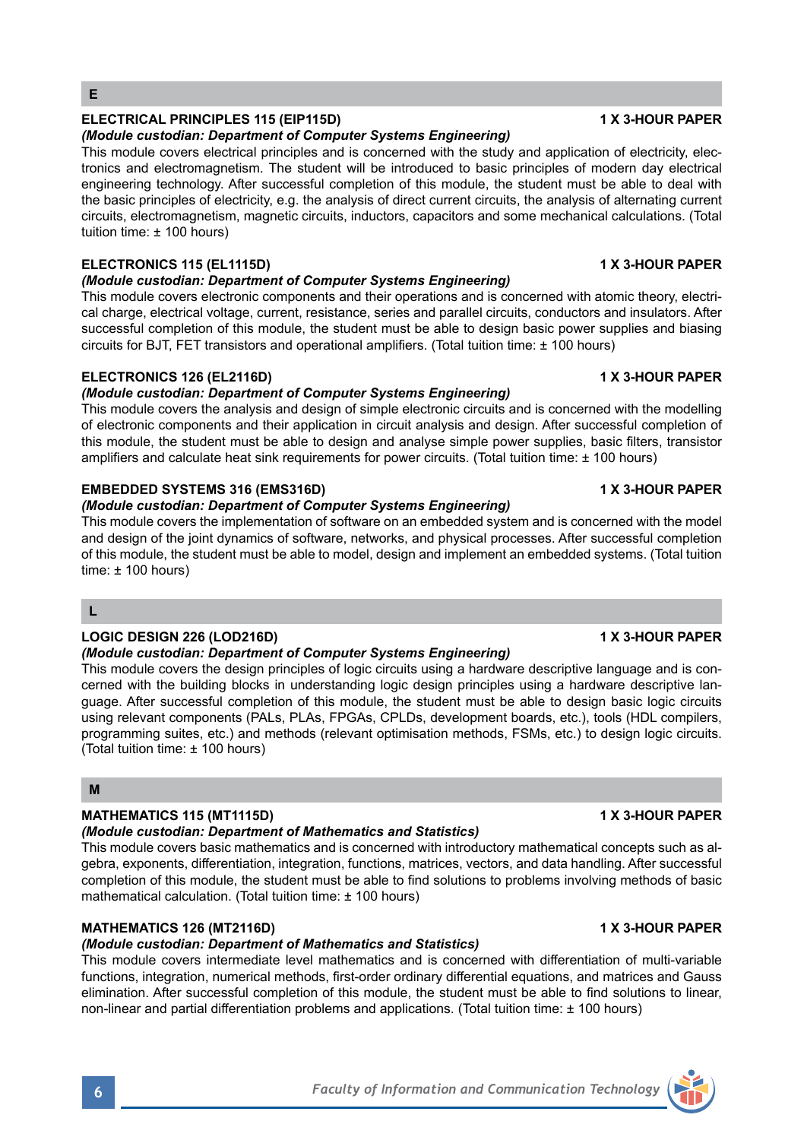## **ELECTRICAL PRINCIPLES 115 (EIP115D) 1 X 3-HOUR PAPER**

### *(Module custodian: Department of Computer Systems Engineering)*

This module covers electrical principles and is concerned with the study and application of electricity, electronics and electromagnetism. The student will be introduced to basic principles of modern day electrical engineering technology. After successful completion of this module, the student must be able to deal with the basic principles of electricity, e.g. the analysis of direct current circuits, the analysis of alternating current circuits, electromagnetism, magnetic circuits, inductors, capacitors and some mechanical calculations. (Total tuition time: ± 100 hours)

## **ELECTRONICS 115 (EL1115D) 1 X 3-HOUR PAPER**

### *(Module custodian: Department of Computer Systems Engineering)*

This module covers electronic components and their operations and is concerned with atomic theory, electrical charge, electrical voltage, current, resistance, series and parallel circuits, conductors and insulators. After successful completion of this module, the student must be able to design basic power supplies and biasing circuits for BJT, FET transistors and operational amplifiers. (Total tuition time: ± 100 hours)

### **ELECTRONICS 126 (EL2116D) 1 X 3-HOUR PAPER**

### *(Module custodian: Department of Computer Systems Engineering)*

This module covers the analysis and design of simple electronic circuits and is concerned with the modelling of electronic components and their application in circuit analysis and design. After successful completion of this module, the student must be able to design and analyse simple power supplies, basic filters, transistor amplifiers and calculate heat sink requirements for power circuits. (Total tuition time: ± 100 hours)

### **EMBEDDED SYSTEMS 316 (EMS316D) 1 X 3-HOUR PAPER**

### *(Module custodian: Department of Computer Systems Engineering)*

This module covers the implementation of software on an embedded system and is concerned with the model and design of the joint dynamics of software, networks, and physical processes. After successful completion of this module, the student must be able to model, design and implement an embedded systems. (Total tuition  $time: + 100 hours$ 

### **L**

### **LOGIC DESIGN 226 (LOD216D) 1 X 3-HOUR PAPER**

### *(Module custodian: Department of Computer Systems Engineering)*

This module covers the design principles of logic circuits using a hardware descriptive language and is concerned with the building blocks in understanding logic design principles using a hardware descriptive language. After successful completion of this module, the student must be able to design basic logic circuits using relevant components (PALs, PLAs, FPGAs, CPLDs, development boards, etc.), tools (HDL compilers, programming suites, etc.) and methods (relevant optimisation methods, FSMs, etc.) to design logic circuits. (Total tuition time: ± 100 hours)

### **M**

### **MATHEMATICS 115 (MT1115D) 1 X 3-HOUR PAPER**

### *(Module custodian: Department of Mathematics and Statistics)*

This module covers basic mathematics and is concerned with introductory mathematical concepts such as algebra, exponents, differentiation, integration, functions, matrices, vectors, and data handling. After successful completion of this module, the student must be able to find solutions to problems involving methods of basic mathematical calculation. (Total tuition time: ± 100 hours)

## **MATHEMATICS 126 (MT2116D) 1 X 3-HOUR PAPER**

## *(Module custodian: Department of Mathematics and Statistics)*

This module covers intermediate level mathematics and is concerned with differentiation of multi-variable functions, integration, numerical methods, first-order ordinary differential equations, and matrices and Gauss elimination. After successful completion of this module, the student must be able to find solutions to linear, non-linear and partial differentiation problems and applications. (Total tuition time: ± 100 hours)



### **6** *Faculty of Information and Communication Technology*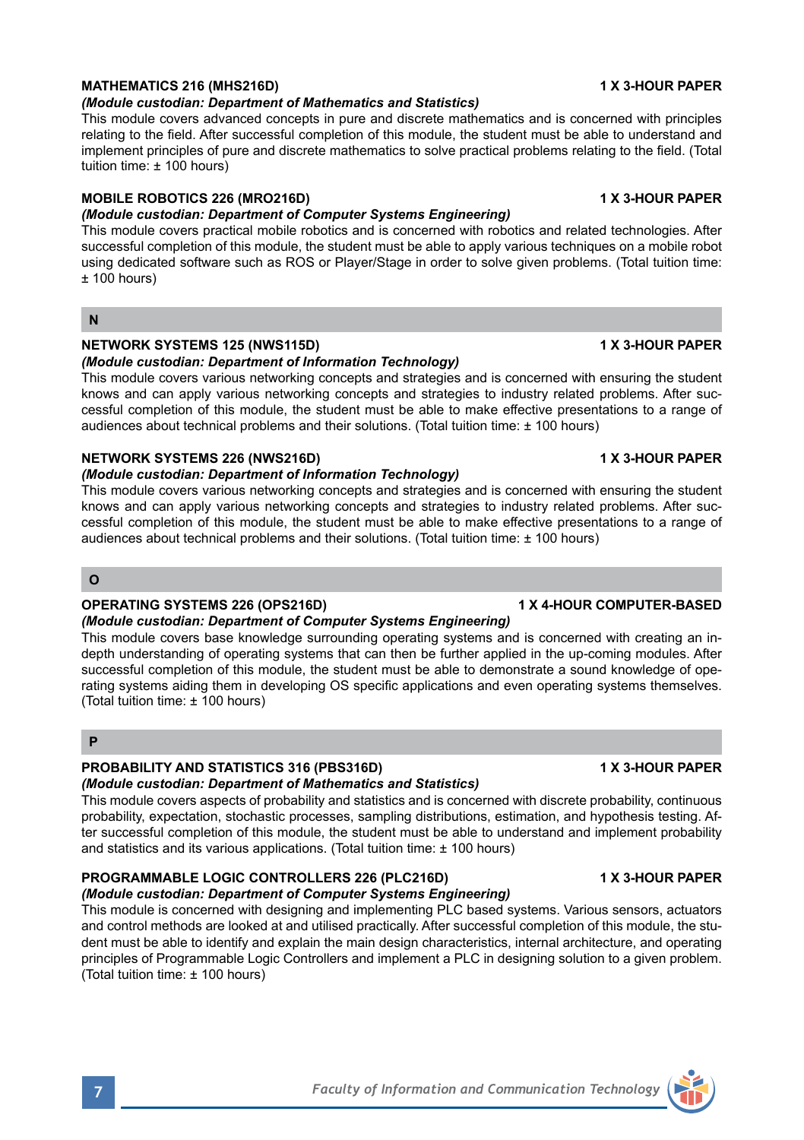## **MATHEMATICS 216 (MHS216D) 1 X 3-HOUR PAPER**

## *(Module custodian: Department of Mathematics and Statistics)*

This module covers advanced concepts in pure and discrete mathematics and is concerned with principles relating to the field. After successful completion of this module, the student must be able to understand and implement principles of pure and discrete mathematics to solve practical problems relating to the field. (Total tuition time: ± 100 hours)

## **MOBILE ROBOTICS 226 (MRO216D) 1 X 3-HOUR PAPER**

## *(Module custodian: Department of Computer Systems Engineering)*

This module covers practical mobile robotics and is concerned with robotics and related technologies. After successful completion of this module, the student must be able to apply various techniques on a mobile robot using dedicated software such as ROS or Player/Stage in order to solve given problems. (Total tuition time:  $± 100$  hours)

### **N**

### **NETWORK SYSTEMS 125 (NWS115D)** 1 X 3-HOUR PAPER

### *(Module custodian: Department of Information Technology)*

This module covers various networking concepts and strategies and is concerned with ensuring the student knows and can apply various networking concepts and strategies to industry related problems. After successful completion of this module, the student must be able to make effective presentations to a range of audiences about technical problems and their solutions. (Total tuition time: ± 100 hours)

### **NETWORK SYSTEMS 226 (NWS216D) 1 X 3-HOUR PAPER**

### *(Module custodian: Department of Information Technology)*

This module covers various networking concepts and strategies and is concerned with ensuring the student knows and can apply various networking concepts and strategies to industry related problems. After successful completion of this module, the student must be able to make effective presentations to a range of audiences about technical problems and their solutions. (Total tuition time: ± 100 hours)

## **O**

### **OPERATING SYSTEMS 226 (OPS216D) 1 X 4-HOUR COMPUTER-BASED**

## *(Module custodian: Department of Computer Systems Engineering)*

This module covers base knowledge surrounding operating systems and is concerned with creating an indepth understanding of operating systems that can then be further applied in the up-coming modules. After successful completion of this module, the student must be able to demonstrate a sound knowledge of operating systems aiding them in developing OS specific applications and even operating systems themselves. (Total tuition time: ± 100 hours)

## **P**

## **PROBABILITY AND STATISTICS 316 (PBS316D) 1 X 3-HOUR PAPER**

## *(Module custodian: Department of Mathematics and Statistics)*

This module covers aspects of probability and statistics and is concerned with discrete probability, continuous probability, expectation, stochastic processes, sampling distributions, estimation, and hypothesis testing. After successful completion of this module, the student must be able to understand and implement probability and statistics and its various applications. (Total tuition time: ± 100 hours)

## **PROGRAMMABLE LOGIC CONTROLLERS 226 (PLC216D) 1 X 3-HOUR PAPER**

### *(Module custodian: Department of Computer Systems Engineering)* This module is concerned with designing and implementing PLC based systems. Various sensors, actuators and control methods are looked at and utilised practically. After successful completion of this module, the student must be able to identify and explain the main design characteristics, internal architecture, and operating principles of Programmable Logic Controllers and implement a PLC in designing solution to a given problem. (Total tuition time: ± 100 hours)

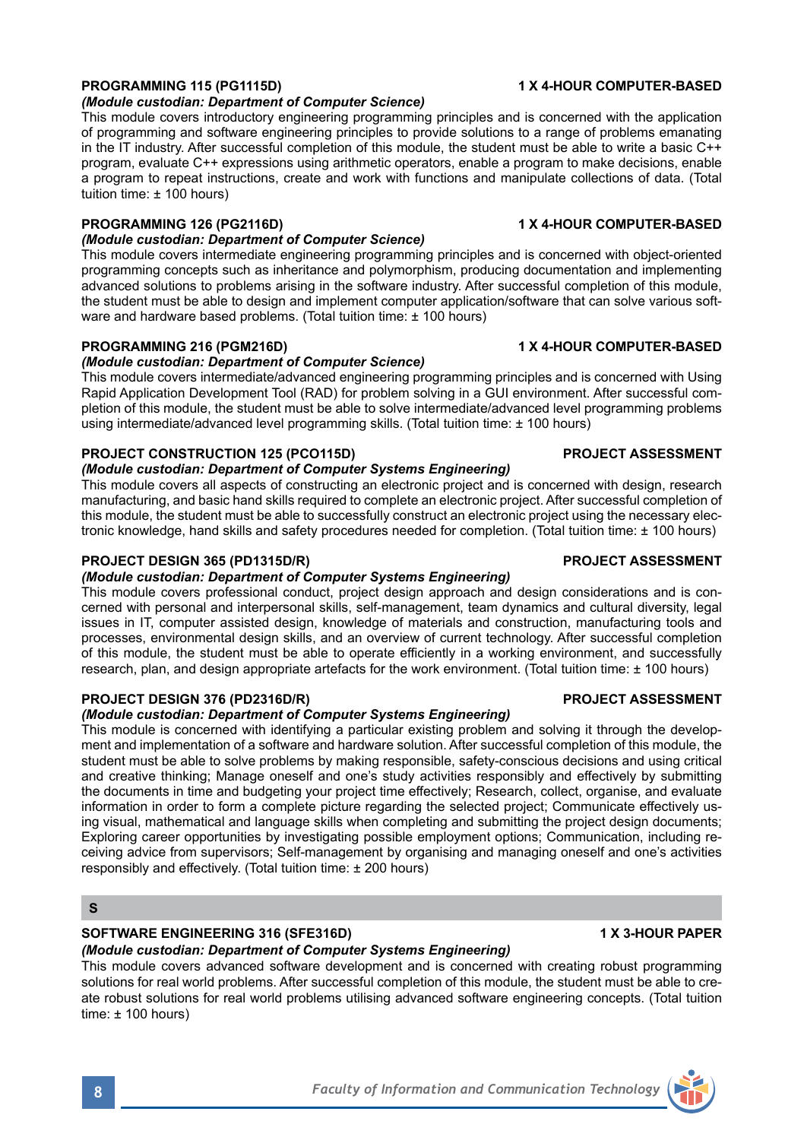### *(Module custodian: Department of Computer Science)*

This module covers introductory engineering programming principles and is concerned with the application of programming and software engineering principles to provide solutions to a range of problems emanating in the IT industry. After successful completion of this module, the student must be able to write a basic C++ program, evaluate C++ expressions using arithmetic operators, enable a program to make decisions, enable a program to repeat instructions, create and work with functions and manipulate collections of data. (Total tuition time: ± 100 hours)

### **PROGRAMMING 126 (PG2116D) 1 X 4-HOUR COMPUTER-BASED**

### *(Module custodian: Department of Computer Science)*

This module covers intermediate engineering programming principles and is concerned with object-oriented programming concepts such as inheritance and polymorphism, producing documentation and implementing advanced solutions to problems arising in the software industry. After successful completion of this module, the student must be able to design and implement computer application/software that can solve various software and hardware based problems. (Total tuition time: ± 100 hours)

### **PROGRAMMING 216 (PGM216D) 1 X 4-HOUR COMPUTER-BASED**

### *(Module custodian: Department of Computer Science)*

This module covers intermediate/advanced engineering programming principles and is concerned with Using Rapid Application Development Tool (RAD) for problem solving in a GUI environment. After successful completion of this module, the student must be able to solve intermediate/advanced level programming problems using intermediate/advanced level programming skills. (Total tuition time: ± 100 hours)

### **PROJECT CONSTRUCTION 125 (PCO115D) PROJECT ASSESSMENT**

### *(Module custodian: Department of Computer Systems Engineering)*

This module covers all aspects of constructing an electronic project and is concerned with design, research manufacturing, and basic hand skills required to complete an electronic project. After successful completion of this module, the student must be able to successfully construct an electronic project using the necessary electronic knowledge, hand skills and safety procedures needed for completion. (Total tuition time: ± 100 hours)

### **PROJECT DESIGN 365 (PD1315D/R) PROJECT ASSESSMENT**

### *(Module custodian: Department of Computer Systems Engineering)*

This module covers professional conduct, project design approach and design considerations and is concerned with personal and interpersonal skills, self-management, team dynamics and cultural diversity, legal issues in IT, computer assisted design, knowledge of materials and construction, manufacturing tools and processes, environmental design skills, and an overview of current technology. After successful completion of this module, the student must be able to operate efficiently in a working environment, and successfully research, plan, and design appropriate artefacts for the work environment. (Total tuition time: ± 100 hours)

### **PROJECT DESIGN 376 (PD2316D/R) PROJECT ASSESSMENT**

### *(Module custodian: Department of Computer Systems Engineering)*

This module is concerned with identifying a particular existing problem and solving it through the development and implementation of a software and hardware solution. After successful completion of this module, the student must be able to solve problems by making responsible, safety-conscious decisions and using critical and creative thinking; Manage oneself and one's study activities responsibly and effectively by submitting the documents in time and budgeting your project time effectively; Research, collect, organise, and evaluate information in order to form a complete picture regarding the selected project; Communicate effectively using visual, mathematical and language skills when completing and submitting the project design documents; Exploring career opportunities by investigating possible employment options; Communication, including receiving advice from supervisors; Self-management by organising and managing oneself and one's activities responsibly and effectively. (Total tuition time: ± 200 hours)

### **S**

## **SOFTWARE ENGINEERING 316 (SFE316D) 1 X 3-HOUR PAPER**

*(Module custodian: Department of Computer Systems Engineering)* 

This module covers advanced software development and is concerned with creating robust programming solutions for real world problems. After successful completion of this module, the student must be able to create robust solutions for real world problems utilising advanced software engineering concepts. (Total tuition time: ± 100 hours)

### **PROGRAMMING 115 (PG1115D) 1 X 4-HOUR COMPUTER-BASED**